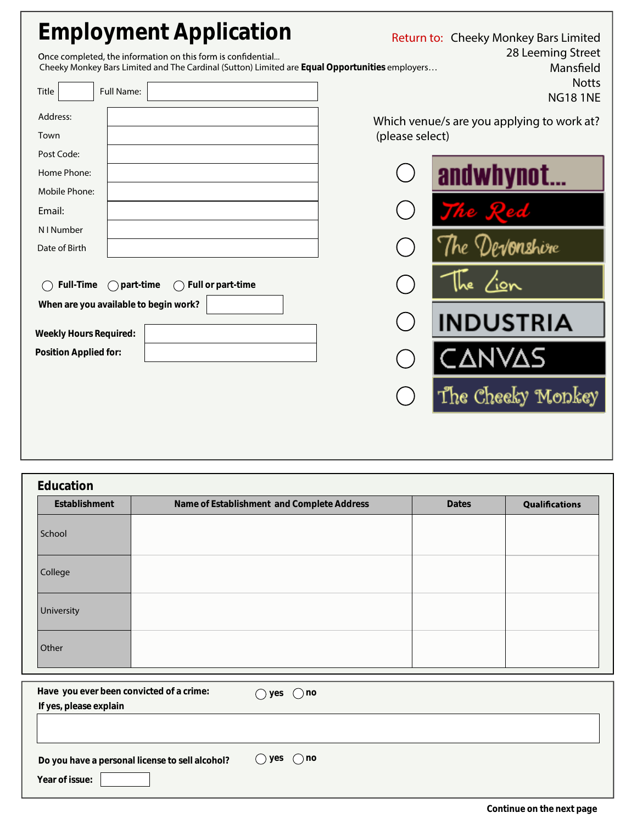| <b>Employment Application</b><br>Once completed, the information on this form is confidential<br>Cheeky Monkey Bars Limited and The Cardinal (Sutton) Limited are Equal Opportunities employers<br><b>Full Name:</b><br><b>Title</b> | Return to: Cheeky Monkey Bars Limited<br>28 Leeming Street<br>Mansfield<br><b>Notts</b><br><b>NG181NE</b> |
|--------------------------------------------------------------------------------------------------------------------------------------------------------------------------------------------------------------------------------------|-----------------------------------------------------------------------------------------------------------|
| Address:<br>Town                                                                                                                                                                                                                     | Which venue/s are you applying to work at?<br>(please select)                                             |
| Post Code:<br>Home Phone:                                                                                                                                                                                                            |                                                                                                           |
| Mobile Phone:                                                                                                                                                                                                                        | andwhynot                                                                                                 |
| Email:                                                                                                                                                                                                                               |                                                                                                           |
| N I Number<br>Date of Birth                                                                                                                                                                                                          | / <b>0nshir</b> e                                                                                         |
| Full or part-time<br><b>Full-Time</b><br>$\bigcap$ part-time                                                                                                                                                                         | <u>ion</u>                                                                                                |
| When are you available to begin work?<br><b>Weekly Hours Required:</b>                                                                                                                                                               | <b>INDUSTRIA</b>                                                                                          |
| <b>Position Applied for:</b>                                                                                                                                                                                                         |                                                                                                           |
|                                                                                                                                                                                                                                      | The Cheeky Monkey                                                                                         |

| <b>Education</b> |                                            |              |                |  |
|------------------|--------------------------------------------|--------------|----------------|--|
| Establishment    | Name of Establishment and Complete Address | <b>Dates</b> | Qualifications |  |
| School           |                                            |              |                |  |
| College          |                                            |              |                |  |
| University       |                                            |              |                |  |
| Other            |                                            |              |                |  |

| Have you ever been convicted of a crime:                          | $()$ no      |
|-------------------------------------------------------------------|--------------|
| If yes, please explain                                            | yes          |
| Do you have a personal license to sell alcohol?<br>Year of issue: | () yes () no |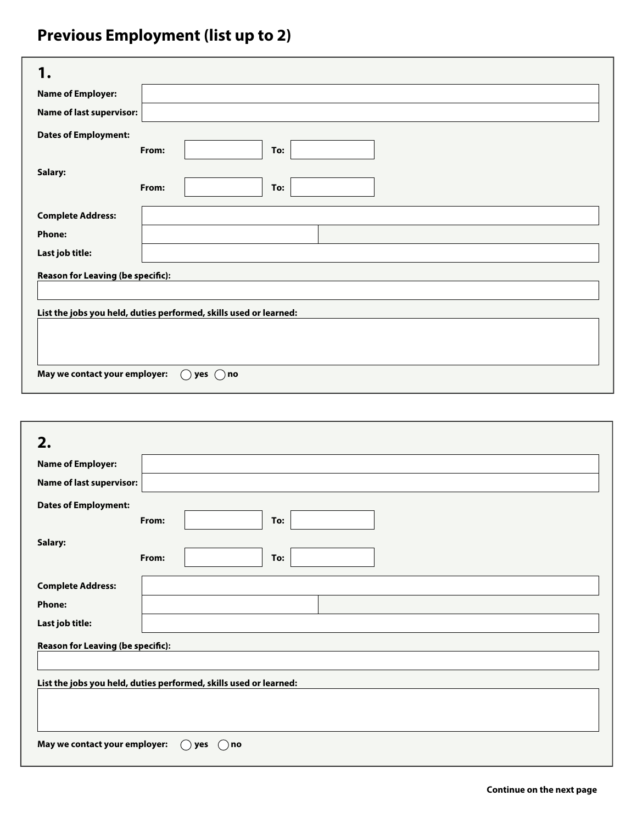## **Previous Employment (list up to 2)**

| <b>Name of Employer:</b>                                          |              |  |  |
|-------------------------------------------------------------------|--------------|--|--|
| <b>Name of last supervisor:</b>                                   |              |  |  |
| <b>Dates of Employment:</b>                                       | From:<br>To: |  |  |
| Salary:                                                           | From:<br>To: |  |  |
| <b>Complete Address:</b>                                          |              |  |  |
| <b>Phone:</b>                                                     |              |  |  |
| Last job title:                                                   |              |  |  |
| <b>Reason for Leaving (be specific):</b>                          |              |  |  |
| List the jobs you held, duties performed, skills used or learned: |              |  |  |
| May we contact your employer:<br>yes $( )$ no                     |              |  |  |

| 2.                                                                |              |  |
|-------------------------------------------------------------------|--------------|--|
| <b>Name of Employer:</b>                                          |              |  |
| <b>Name of last supervisor:</b>                                   |              |  |
| <b>Dates of Employment:</b>                                       | From:<br>To: |  |
| Salary:                                                           | From:<br>To: |  |
| <b>Complete Address:</b>                                          |              |  |
| <b>Phone:</b>                                                     |              |  |
| Last job title:                                                   |              |  |
| Reason for Leaving (be specific):                                 |              |  |
| List the jobs you held, duties performed, skills used or learned: |              |  |
| May we contact your employer:<br>yes<br>$( )$ no<br>C -           |              |  |